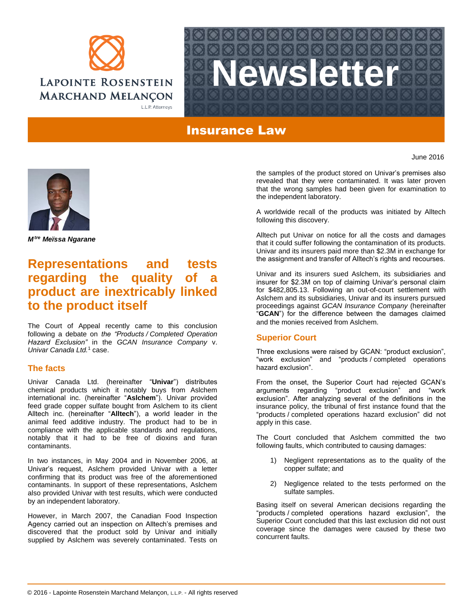



## Insurance Law



*Mtre Meïssa Ngarane*

# **Representations and tests regarding the quality of product are inextricably linked to the product itself**

The Court of Appeal recently came to this conclusion following a debate on *the "Products / Completed Operation Hazard Exclusion"* in the *GCAN Insurance Company* v. *Univar Canada Ltd.* <sup>1</sup> case.

### **The facts**

Univar Canada Ltd. (hereinafter "**Univar**") distributes chemical products which it notably buys from Aslchem international inc. (hereinafter "**Aslchem**"). Univar provided feed grade copper sulfate bought from Aslchem to its client Alltech inc. (hereinafter "**Alltech**"), a world leader in the animal feed additive industry. The product had to be in compliance with the applicable standards and regulations, notably that it had to be free of dioxins and furan contaminants.

In two instances, in May 2004 and in November 2006, at Univar's request, Aslchem provided Univar with a letter confirming that its product was free of the aforementioned contaminants. In support of these representations, Aslchem also provided Univar with test results, which were conducted by an independent laboratory.

However, in March 2007, the Canadian Food Inspection Agency carried out an inspection on Alltech's premises and discovered that the product sold by Univar and initially supplied by Aslchem was severely contaminated. Tests on

the samples of the product stored on Univar's premises also revealed that they were contaminated. It was later proven that the wrong samples had been given for examination to the independent laboratory.

A worldwide recall of the products was initiated by Alltech following this discovery.

Alltech put Univar on notice for all the costs and damages that it could suffer following the contamination of its products. Univar and its insurers paid more than \$2.3M in exchange for the assignment and transfer of Alltech's rights and recourses.

Univar and its insurers sued Aslchem, its subsidiaries and insurer for \$2.3M on top of claiming Univar's personal claim for \$482,805.13. Following an out-of-court settlement with Aslchem and its subsidiaries, Univar and its insurers pursued proceedings against *GCAN Insurance Company* (hereinafter "**GCAN**") for the difference between the damages claimed and the monies received from Aslchem.

## **Superior Court**

Three exclusions were raised by GCAN: "product exclusion", "work exclusion" and "products / completed operations hazard exclusion".

From the onset, the Superior Court had rejected GCAN's arguments regarding "product exclusion" and "work exclusion". After analyzing several of the definitions in the insurance policy, the tribunal of first instance found that the "products / completed operations hazard exclusion" did not apply in this case.

The Court concluded that Aslchem committed the two following faults, which contributed to causing damages:

- 1) Negligent representations as to the quality of the copper sulfate; and
- 2) Negligence related to the tests performed on the sulfate samples.

Basing itself on several American decisions regarding the "products / completed operations hazard exclusion", the Superior Court concluded that this last exclusion did not oust coverage since the damages were caused by these two concurrent faults.

© 2016 - Lapointe Rosenstein Marchand Melançon, L.L.P. - All rights reserved

June 2016